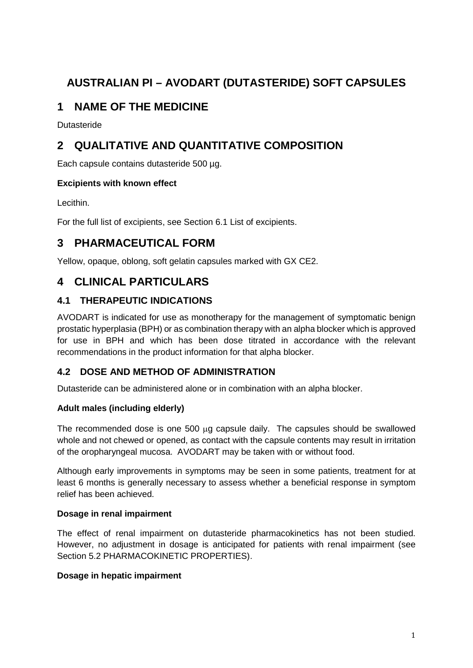# **AUSTRALIAN PI – AVODART (DUTASTERIDE) SOFT CAPSULES**

## **1 NAME OF THE MEDICINE**

**Dutasteride** 

## **2 QUALITATIVE AND QUANTITATIVE COMPOSITION**

Each capsule contains dutasteride 500 ug.

#### **Excipients with known effect**

Lecithin.

For the full list of excipients, see Section 6.1 List of excipients.

## **3 PHARMACEUTICAL FORM**

Yellow, opaque, oblong, soft gelatin capsules marked with GX CE2.

## **4 CLINICAL PARTICULARS**

## **4.1 THERAPEUTIC INDICATIONS**

AVODART is indicated for use as monotherapy for the management of symptomatic benign prostatic hyperplasia (BPH) or as combination therapy with an alpha blocker which is approved for use in BPH and which has been dose titrated in accordance with the relevant recommendations in the product information for that alpha blocker.

## **4.2 DOSE AND METHOD OF ADMINISTRATION**

Dutasteride can be administered alone or in combination with an alpha blocker.

#### **Adult males (including elderly)**

The recommended dose is one 500 µg capsule daily. The capsules should be swallowed whole and not chewed or opened, as contact with the capsule contents may result in irritation of the oropharyngeal mucosa. AVODART may be taken with or without food.

Although early improvements in symptoms may be seen in some patients, treatment for at least 6 months is generally necessary to assess whether a beneficial response in symptom relief has been achieved.

#### **Dosage in renal impairment**

The effect of renal impairment on dutasteride pharmacokinetics has not been studied. However, no adjustment in dosage is anticipated for patients with renal impairment (see Section 5.2 PHARMACOKINETIC PROPERTIES).

#### **Dosage in hepatic impairment**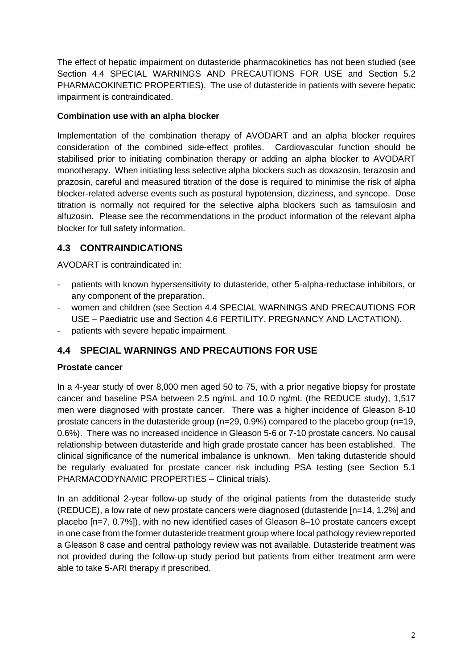The effect of hepatic impairment on dutasteride pharmacokinetics has not been studied (see Section 4.4 SPECIAL WARNINGS AND PRECAUTIONS FOR USE and Section 5.2 PHARMACOKINETIC PROPERTIES). The use of dutasteride in patients with severe hepatic impairment is contraindicated.

#### **Combination use with an alpha blocker**

Implementation of the combination therapy of AVODART and an alpha blocker requires consideration of the combined side-effect profiles. Cardiovascular function should be stabilised prior to initiating combination therapy or adding an alpha blocker to AVODART monotherapy. When initiating less selective alpha blockers such as doxazosin, terazosin and prazosin, careful and measured titration of the dose is required to minimise the risk of alpha blocker-related adverse events such as postural hypotension, dizziness, and syncope. Dose titration is normally not required for the selective alpha blockers such as tamsulosin and alfuzosin. Please see the recommendations in the product information of the relevant alpha blocker for full safety information.

## **4.3 CONTRAINDICATIONS**

AVODART is contraindicated in:

- patients with known hypersensitivity to dutasteride, other 5-alpha-reductase inhibitors, or any component of the preparation.
- women and children (see Section 4.4 SPECIAL WARNINGS AND PRECAUTIONS FOR USE – Paediatric use and Section 4.6 FERTILITY, PREGNANCY AND LACTATION).
- patients with severe hepatic impairment.

## **4.4 SPECIAL WARNINGS AND PRECAUTIONS FOR USE**

#### **Prostate cancer**

In a 4-year study of over 8,000 men aged 50 to 75, with a prior negative biopsy for prostate cancer and baseline PSA between 2.5 ng/mL and 10.0 ng/mL (the REDUCE study), 1,517 men were diagnosed with prostate cancer. There was a higher incidence of Gleason 8-10 prostate cancers in the dutasteride group (n=29, 0.9%) compared to the placebo group (n=19, 0.6%). There was no increased incidence in Gleason 5-6 or 7-10 prostate cancers. No causal relationship between dutasteride and high grade prostate cancer has been established. The clinical significance of the numerical imbalance is unknown. Men taking dutasteride should be regularly evaluated for prostate cancer risk including PSA testing (see Section 5.1 PHARMACODYNAMIC PROPERTIES – Clinical trials).

In an additional 2-year follow-up study of the original patients from the dutasteride study (REDUCE), a low rate of new prostate cancers were diagnosed (dutasteride [n=14, 1.2%] and placebo [n=7, 0.7%]), with no new identified cases of Gleason 8–10 prostate cancers except in one case from the former dutasteride treatment group where local pathology review reported a Gleason 8 case and central pathology review was not available. Dutasteride treatment was not provided during the follow-up study period but patients from either treatment arm were able to take 5-ARI therapy if prescribed.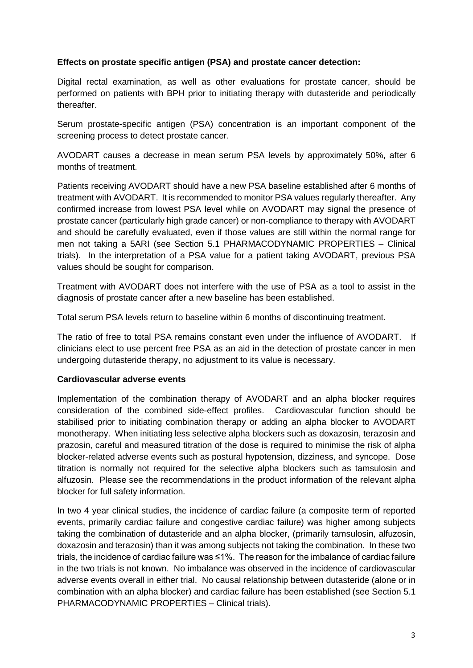#### **Effects on prostate specific antigen (PSA) and prostate cancer detection:**

Digital rectal examination, as well as other evaluations for prostate cancer, should be performed on patients with BPH prior to initiating therapy with dutasteride and periodically thereafter.

Serum prostate-specific antigen (PSA) concentration is an important component of the screening process to detect prostate cancer.

AVODART causes a decrease in mean serum PSA levels by approximately 50%, after 6 months of treatment.

Patients receiving AVODART should have a new PSA baseline established after 6 months of treatment with AVODART. It is recommended to monitor PSA values regularly thereafter. Any confirmed increase from lowest PSA level while on AVODART may signal the presence of prostate cancer (particularly high grade cancer) or non-compliance to therapy with AVODART and should be carefully evaluated, even if those values are still within the normal range for men not taking a 5ARI (see Section 5.1 PHARMACODYNAMIC PROPERTIES – Clinical trials). In the interpretation of a PSA value for a patient taking AVODART, previous PSA values should be sought for comparison.

Treatment with AVODART does not interfere with the use of PSA as a tool to assist in the diagnosis of prostate cancer after a new baseline has been established.

Total serum PSA levels return to baseline within 6 months of discontinuing treatment.

The ratio of free to total PSA remains constant even under the influence of AVODART. If clinicians elect to use percent free PSA as an aid in the detection of prostate cancer in men undergoing dutasteride therapy, no adjustment to its value is necessary.

#### **Cardiovascular adverse events**

Implementation of the combination therapy of AVODART and an alpha blocker requires consideration of the combined side-effect profiles. Cardiovascular function should be stabilised prior to initiating combination therapy or adding an alpha blocker to AVODART monotherapy. When initiating less selective alpha blockers such as doxazosin, terazosin and prazosin, careful and measured titration of the dose is required to minimise the risk of alpha blocker-related adverse events such as postural hypotension, dizziness, and syncope. Dose titration is normally not required for the selective alpha blockers such as tamsulosin and alfuzosin. Please see the recommendations in the product information of the relevant alpha blocker for full safety information.

In two 4 year clinical studies, the incidence of cardiac failure (a composite term of reported events, primarily cardiac failure and congestive cardiac failure) was higher among subjects taking the combination of dutasteride and an alpha blocker, (primarily tamsulosin, alfuzosin, doxazosin and terazosin) than it was among subjects not taking the combination. In these two trials, the incidence of cardiac failure was ≤1%. The reason for the imbalance of cardiac failure in the two trials is not known. No imbalance was observed in the incidence of cardiovascular adverse events overall in either trial. No causal relationship between dutasteride (alone or in combination with an alpha blocker) and cardiac failure has been established (see Section 5.1 PHARMACODYNAMIC PROPERTIES – Clinical trials).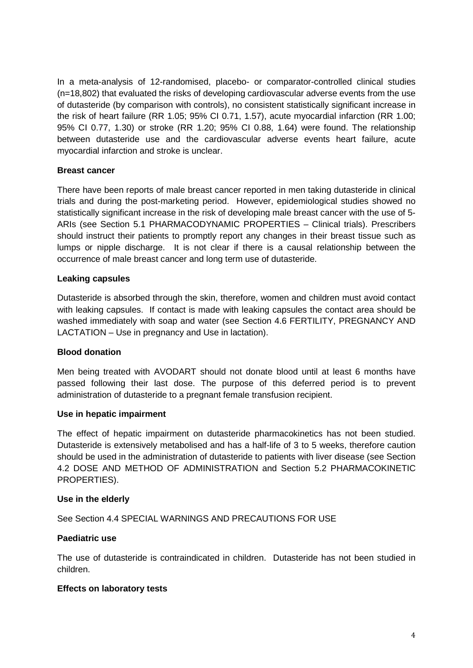In a meta-analysis of 12-randomised, placebo- or comparator-controlled clinical studies (n=18,802) that evaluated the risks of developing cardiovascular adverse events from the use of dutasteride (by comparison with controls), no consistent statistically significant increase in the risk of heart failure (RR 1.05; 95% CI 0.71, 1.57), acute myocardial infarction (RR 1.00; 95% CI 0.77, 1.30) or stroke (RR 1.20; 95% CI 0.88, 1.64) were found. The relationship between dutasteride use and the cardiovascular adverse events heart failure, acute myocardial infarction and stroke is unclear.

#### **Breast cancer**

There have been reports of male breast cancer reported in men taking dutasteride in clinical trials and during the post-marketing period. However, epidemiological studies showed no statistically significant increase in the risk of developing male breast cancer with the use of 5- ARIs (see Section 5.1 PHARMACODYNAMIC PROPERTIES – Clinical trials). Prescribers should instruct their patients to promptly report any changes in their breast tissue such as lumps or nipple discharge. It is not clear if there is a causal relationship between the occurrence of male breast cancer and long term use of dutasteride.

#### **Leaking capsules**

Dutasteride is absorbed through the skin, therefore, women and children must avoid contact with leaking capsules. If contact is made with leaking capsules the contact area should be washed immediately with soap and water (see Section 4.6 FERTILITY, PREGNANCY AND LACTATION – Use in pregnancy and Use in lactation).

#### **Blood donation**

Men being treated with AVODART should not donate blood until at least 6 months have passed following their last dose. The purpose of this deferred period is to prevent administration of dutasteride to a pregnant female transfusion recipient.

#### **Use in hepatic impairment**

The effect of hepatic impairment on dutasteride pharmacokinetics has not been studied. Dutasteride is extensively metabolised and has a half-life of 3 to 5 weeks, therefore caution should be used in the administration of dutasteride to patients with liver disease (see Section 4.2 DOSE AND METHOD OF ADMINISTRATION and Section 5.2 PHARMACOKINETIC PROPERTIES).

#### **Use in the elderly**

See Section 4.4 SPECIAL WARNINGS AND PRECAUTIONS FOR USE

#### **Paediatric use**

The use of dutasteride is contraindicated in children. Dutasteride has not been studied in children.

#### **Effects on laboratory tests**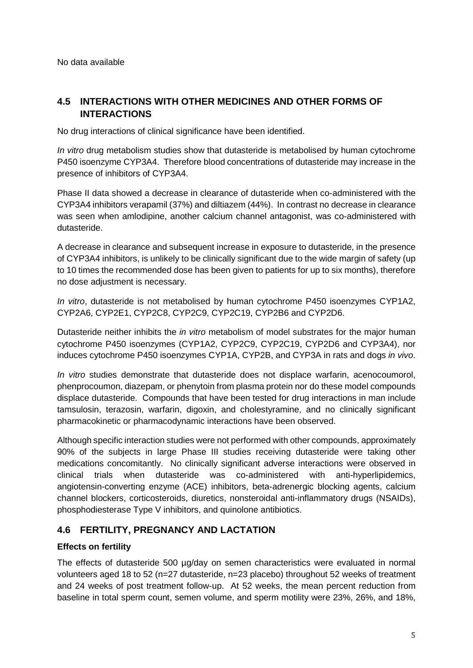No data available

## **4.5 INTERACTIONS WITH OTHER MEDICINES AND OTHER FORMS OF INTERACTIONS**

No drug interactions of clinical significance have been identified.

*In vitro* drug metabolism studies show that dutasteride is metabolised by human cytochrome P450 isoenzyme CYP3A4. Therefore blood concentrations of dutasteride may increase in the presence of inhibitors of CYP3A4.

Phase II data showed a decrease in clearance of dutasteride when co-administered with the CYP3A4 inhibitors verapamil (37%) and diltiazem (44%). In contrast no decrease in clearance was seen when amlodipine, another calcium channel antagonist, was co-administered with dutasteride.

A decrease in clearance and subsequent increase in exposure to dutasteride, in the presence of CYP3A4 inhibitors, is unlikely to be clinically significant due to the wide margin of safety (up to 10 times the recommended dose has been given to patients for up to six months), therefore no dose adjustment is necessary.

*In vitro*, dutasteride is not metabolised by human cytochrome P450 isoenzymes CYP1A2, CYP2A6, CYP2E1, CYP2C8, CYP2C9, CYP2C19, CYP2B6 and CYP2D6.

Dutasteride neither inhibits the *in vitro* metabolism of model substrates for the major human cytochrome P450 isoenzymes (CYP1A2, CYP2C9, CYP2C19, CYP2D6 and CYP3A4), nor induces cytochrome P450 isoenzymes CYP1A, CYP2B, and CYP3A in rats and dogs *in vivo*.

*In vitro* studies demonstrate that dutasteride does not displace warfarin, acenocoumorol, phenprocoumon, diazepam, or phenytoin from plasma protein nor do these model compounds displace dutasteride. Compounds that have been tested for drug interactions in man include tamsulosin, terazosin, warfarin, digoxin, and cholestyramine, and no clinically significant pharmacokinetic or pharmacodynamic interactions have been observed.

Although specific interaction studies were not performed with other compounds, approximately 90% of the subjects in large Phase III studies receiving dutasteride were taking other medications concomitantly. No clinically significant adverse interactions were observed in clinical trials when dutasteride was co-administered with anti-hyperlipidemics, angiotensin-converting enzyme (ACE) inhibitors, beta-adrenergic blocking agents, calcium channel blockers, corticosteroids, diuretics, nonsteroidal anti-inflammatory drugs (NSAIDs), phosphodiesterase Type V inhibitors, and quinolone antibiotics.

## **4.6 FERTILITY, PREGNANCY AND LACTATION**

#### **Effects on fertility**

The effects of dutasteride 500 ug/day on semen characteristics were evaluated in normal volunteers aged 18 to 52 (n=27 dutasteride, n=23 placebo) throughout 52 weeks of treatment and 24 weeks of post treatment follow-up. At 52 weeks, the mean percent reduction from baseline in total sperm count, semen volume, and sperm motility were 23%, 26%, and 18%,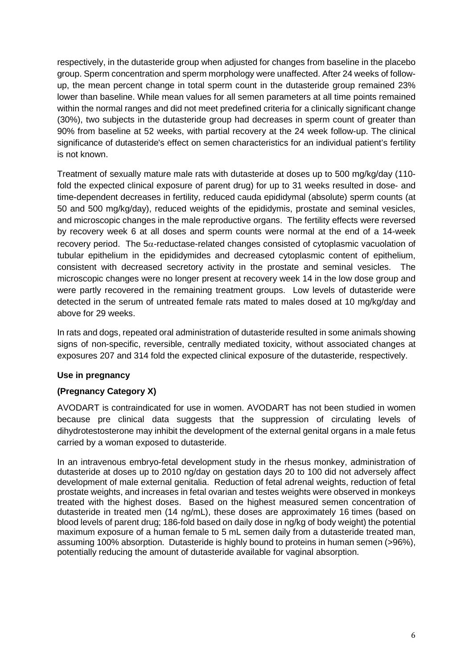respectively, in the dutasteride group when adjusted for changes from baseline in the placebo group. Sperm concentration and sperm morphology were unaffected. After 24 weeks of followup, the mean percent change in total sperm count in the dutasteride group remained 23% lower than baseline. While mean values for all semen parameters at all time points remained within the normal ranges and did not meet predefined criteria for a clinically significant change (30%), two subjects in the dutasteride group had decreases in sperm count of greater than 90% from baseline at 52 weeks, with partial recovery at the 24 week follow-up. The clinical significance of dutasteride's effect on semen characteristics for an individual patient's fertility is not known.

Treatment of sexually mature male rats with dutasteride at doses up to 500 mg/kg/day (110 fold the expected clinical exposure of parent drug) for up to 31 weeks resulted in dose- and time-dependent decreases in fertility, reduced cauda epididymal (absolute) sperm counts (at 50 and 500 mg/kg/day), reduced weights of the epididymis, prostate and seminal vesicles, and microscopic changes in the male reproductive organs. The fertility effects were reversed by recovery week 6 at all doses and sperm counts were normal at the end of a 14-week recovery period. The  $5\alpha$ -reductase-related changes consisted of cytoplasmic vacuolation of tubular epithelium in the epididymides and decreased cytoplasmic content of epithelium, consistent with decreased secretory activity in the prostate and seminal vesicles. The microscopic changes were no longer present at recovery week 14 in the low dose group and were partly recovered in the remaining treatment groups. Low levels of dutasteride were detected in the serum of untreated female rats mated to males dosed at 10 mg/kg/day and above for 29 weeks.

In rats and dogs, repeated oral administration of dutasteride resulted in some animals showing signs of non-specific, reversible, centrally mediated toxicity, without associated changes at exposures 207 and 314 fold the expected clinical exposure of the dutasteride, respectively.

#### **Use in pregnancy**

#### **(Pregnancy Category X)**

AVODART is contraindicated for use in women. AVODART has not been studied in women because pre clinical data suggests that the suppression of circulating levels of dihydrotestosterone may inhibit the development of the external genital organs in a male fetus carried by a woman exposed to dutasteride.

In an intravenous embryo-fetal development study in the rhesus monkey, administration of dutasteride at doses up to 2010 ng/day on gestation days 20 to 100 did not adversely affect development of male external genitalia. Reduction of fetal adrenal weights, reduction of fetal prostate weights, and increases in fetal ovarian and testes weights were observed in monkeys treated with the highest doses. Based on the highest measured semen concentration of dutasteride in treated men (14 ng/mL), these doses are approximately 16 times (based on blood levels of parent drug; 186-fold based on daily dose in ng/kg of body weight) the potential maximum exposure of a human female to 5 mL semen daily from a dutasteride treated man, assuming 100% absorption. Dutasteride is highly bound to proteins in human semen (>96%), potentially reducing the amount of dutasteride available for vaginal absorption.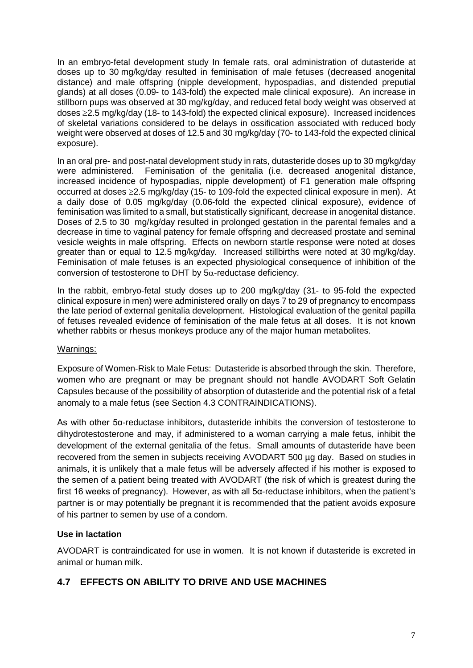In an embryo-fetal development study In female rats, oral administration of dutasteride at doses up to 30 mg/kg/day resulted in feminisation of male fetuses (decreased anogenital distance) and male offspring (nipple development, hypospadias, and distended preputial glands) at all doses (0.09- to 143-fold) the expected male clinical exposure). An increase in stillborn pups was observed at 30 mg/kg/day, and reduced fetal body weight was observed at doses ≥2.5 mg/kg/day (18- to 143-fold) the expected clinical exposure). Increased incidences of skeletal variations considered to be delays in ossification associated with reduced body weight were observed at doses of 12.5 and 30 mg/kg/day (70- to 143-fold the expected clinical exposure).

In an oral pre- and post-natal development study in rats, dutasteride doses up to 30 mg/kg/day were administered. Feminisation of the genitalia (i.e. decreased anogenital distance, increased incidence of hypospadias, nipple development) of F1 generation male offspring occurred at doses ≥2.5 mg/kg/day (15- to 109-fold the expected clinical exposure in men). At a daily dose of 0.05 mg/kg/day (0.06-fold the expected clinical exposure), evidence of feminisation was limited to a small, but statistically significant, decrease in anogenital distance. Doses of 2.5 to 30 mg/kg/day resulted in prolonged gestation in the parental females and a decrease in time to vaginal patency for female offspring and decreased prostate and seminal vesicle weights in male offspring. Effects on newborn startle response were noted at doses greater than or equal to 12.5 mg/kg/day. Increased stillbirths were noted at 30 mg/kg/day. Feminisation of male fetuses is an expected physiological consequence of inhibition of the conversion of testosterone to DHT by  $5\alpha$ -reductase deficiency.

In the rabbit, embryo-fetal study doses up to 200 mg/kg/day (31- to 95-fold the expected clinical exposure in men) were administered orally on days 7 to 29 of pregnancy to encompass the late period of external genitalia development. Histological evaluation of the genital papilla of fetuses revealed evidence of feminisation of the male fetus at all doses. It is not known whether rabbits or rhesus monkeys produce any of the major human metabolites.

#### Warnings:

Exposure of Women-Risk to Male Fetus: Dutasteride is absorbed through the skin. Therefore, women who are pregnant or may be pregnant should not handle AVODART Soft Gelatin Capsules because of the possibility of absorption of dutasteride and the potential risk of a fetal anomaly to a male fetus (see Section 4.3 CONTRAINDICATIONS).

As with other 5α-reductase inhibitors, dutasteride inhibits the conversion of testosterone to dihydrotestosterone and may, if administered to a woman carrying a male fetus, inhibit the development of the external genitalia of the fetus. Small amounts of dutasteride have been recovered from the semen in subjects receiving AVODART 500 µg day. Based on studies in animals, it is unlikely that a male fetus will be adversely affected if his mother is exposed to the semen of a patient being treated with AVODART (the risk of which is greatest during the first 16 weeks of pregnancy). However, as with all 5α-reductase inhibitors, when the patient's partner is or may potentially be pregnant it is recommended that the patient avoids exposure of his partner to semen by use of a condom.

#### **Use in lactation**

AVODART is contraindicated for use in women. It is not known if dutasteride is excreted in animal or human milk.

## **4.7 EFFECTS ON ABILITY TO DRIVE AND USE MACHINES**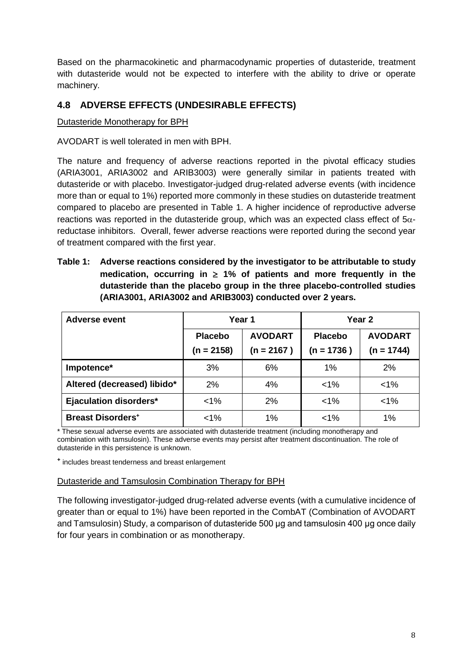Based on the pharmacokinetic and pharmacodynamic properties of dutasteride, treatment with dutasteride would not be expected to interfere with the ability to drive or operate machinery.

## **4.8 ADVERSE EFFECTS (UNDESIRABLE EFFECTS)**

#### Dutasteride Monotherapy for BPH

AVODART is well tolerated in men with BPH.

The nature and frequency of adverse reactions reported in the pivotal efficacy studies (ARIA3001, ARIA3002 and ARIB3003) were generally similar in patients treated with dutasteride or with placebo. Investigator-judged drug-related adverse events (with incidence more than or equal to 1%) reported more commonly in these studies on dutasteride treatment compared to placebo are presented in Table 1. A higher incidence of reproductive adverse reactions was reported in the dutasteride group, which was an expected class effect of  $5\alpha$ reductase inhibitors. Overall, fewer adverse reactions were reported during the second year of treatment compared with the first year.

**Table 1: Adverse reactions considered by the investigator to be attributable to study medication, occurring in** ≥ **1% of patients and more frequently in the dutasteride than the placebo group in the three placebo-controlled studies (ARIA3001, ARIA3002 and ARIB3003) conducted over 2 years.**

| <b>Adverse event</b>                |                                  | Year 1       | Year 2         |                |  |
|-------------------------------------|----------------------------------|--------------|----------------|----------------|--|
|                                     | <b>AVODART</b><br><b>Placebo</b> |              | <b>Placebo</b> | <b>AVODART</b> |  |
|                                     | $(n = 2158)$                     | $(n = 2167)$ | $(n = 1736)$   | $(n = 1744)$   |  |
| Impotence*                          | 3%                               | 6%           | $1\%$          | 2%             |  |
| Altered (decreased) libido*         | 2%                               | 4%           | $1\%$          | $< 1\%$        |  |
| <b>Ejaculation disorders*</b>       | $<$ 1%                           | 2%           | $< 1\%$        | $< 1\%$        |  |
| <b>Breast Disorders<sup>+</sup></b> | $< 1\%$                          | 1%           | $< 1\%$        | 1%             |  |

\* These sexual adverse events are associated with dutasteride treatment (including monotherapy and combination with tamsulosin). These adverse events may persist after treatment discontinuation. The role of dutasteride in this persistence is unknown.

**<sup>+</sup>** includes breast tenderness and breast enlargement

#### Dutasteride and Tamsulosin Combination Therapy for BPH

The following investigator-judged drug-related adverse events (with a cumulative incidence of greater than or equal to 1%) have been reported in the CombAT (Combination of AVODART and Tamsulosin) Study, a comparison of dutasteride 500 μg and tamsulosin 400 μg once daily for four years in combination or as monotherapy.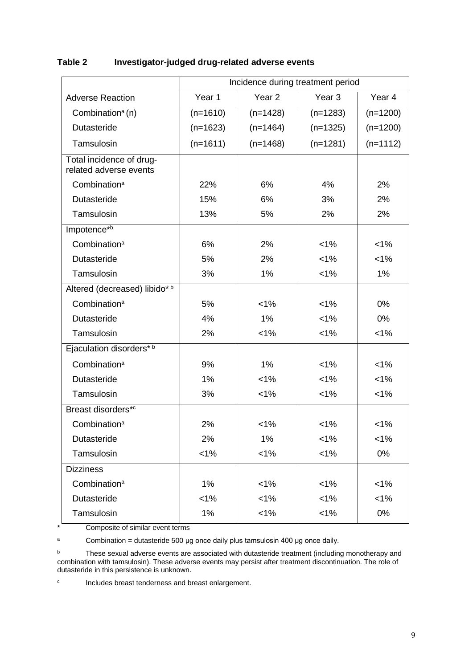|                                                    | Incidence during treatment period |                   |                   |            |  |  |  |
|----------------------------------------------------|-----------------------------------|-------------------|-------------------|------------|--|--|--|
| <b>Adverse Reaction</b>                            | Year 1                            | Year <sub>2</sub> | Year <sub>3</sub> | Year 4     |  |  |  |
| Combination <sup>a</sup> (n)                       | $(n=1610)$                        | $(n=1428)$        | $(n=1283)$        | $(n=1200)$ |  |  |  |
| Dutasteride                                        | $(n=1623)$                        | $(n=1464)$        | $(n=1325)$        | $(n=1200)$ |  |  |  |
| Tamsulosin                                         | $(n=1611)$                        | $(n=1468)$        | $(n=1281)$        | $(n=1112)$ |  |  |  |
| Total incidence of drug-<br>related adverse events |                                   |                   |                   |            |  |  |  |
| Combination <sup>a</sup>                           | 22%                               | 6%                | 4%                | 2%         |  |  |  |
| Dutasteride                                        | 15%                               | 6%                | 3%                | 2%         |  |  |  |
| Tamsulosin                                         | 13%                               | 5%                | 2%                | 2%         |  |  |  |
| Impotence*b                                        |                                   |                   |                   |            |  |  |  |
| Combination <sup>a</sup>                           | 6%                                | 2%                | $< 1\%$           | $< 1\%$    |  |  |  |
| Dutasteride                                        | 5%                                | 2%                | $< 1\%$           | 1%         |  |  |  |
| Tamsulosin                                         | 3%                                | 1%                | $< 1\%$           | 1%         |  |  |  |
| Altered (decreased) libido*b                       |                                   |                   |                   |            |  |  |  |
| Combination <sup>a</sup>                           | 5%                                | $1\%$             | $< 1\%$           | 0%         |  |  |  |
| Dutasteride                                        | 4%                                | 1%                | $1\%$             | $0\%$      |  |  |  |
| Tamsulosin                                         | 2%                                | $< 1\%$           | $< 1\%$           | $< 1\%$    |  |  |  |
| Ejaculation disorders*b                            |                                   |                   |                   |            |  |  |  |
| Combination <sup>a</sup>                           | 9%                                | $1\%$             | $< 1\%$           | $< 1\%$    |  |  |  |
| Dutasteride                                        | 1%                                | $< 1\%$           | $< 1\%$           | $< 1\%$    |  |  |  |
| Tamsulosin                                         | 3%                                | $< 1\%$           | $1\%$             | $< 1\%$    |  |  |  |
| Breast disorders*c                                 |                                   |                   |                   |            |  |  |  |
| Combination <sup>a</sup>                           | 2%                                | $< 1\%$           | $< 1\%$           | $< 1\%$    |  |  |  |
| Dutasteride                                        | 2%                                | 1%                | 1%                | 1%         |  |  |  |
| Tamsulosin                                         | $< 1\%$                           | $< 1\%$           | $< 1\%$           | 0%         |  |  |  |
| <b>Dizziness</b>                                   |                                   |                   |                   |            |  |  |  |
| Combination <sup>a</sup>                           | 1%                                | $< 1\%$           | $1\%$             | $< 1\%$    |  |  |  |
| Dutasteride                                        | $< 1\%$                           | $< 1\%$           | 1%                | $< 1\%$    |  |  |  |
| Tamsulosin                                         | 1%                                | $1\%$             | $1\%$             | 0%         |  |  |  |

## **Table 2 Investigator-judged drug-related adverse events**

\* Composite of similar event terms

 $a$  Combination = dutasteride 500 μg once daily plus tamsulosin 400 μg once daily.

<sup>b</sup> These sexual adverse events are associated with dutasteride treatment (including monotherapy and combination with tamsulosin). These adverse events may persist after treatment discontinuation. The role of dutasteride in this persistence is unknown.

<sup>c</sup> Includes breast tenderness and breast enlargement.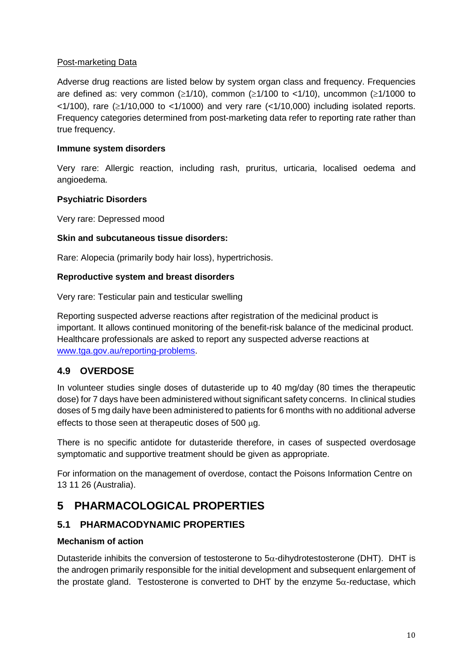#### Post-marketing Data

Adverse drug reactions are listed below by system organ class and frequency. Frequencies are defined as: very common ( $\geq$ 1/10), common ( $\geq$ 1/100 to <1/10), uncommon ( $\geq$ 1/1000 to  $<1/100$ , rare ( $\geq 1/10,000$  to  $<1/1000$ ) and very rare ( $<1/10,000$ ) including isolated reports. Frequency categories determined from post-marketing data refer to reporting rate rather than true frequency.

#### **Immune system disorders**

Very rare: Allergic reaction, including rash, pruritus, urticaria, localised oedema and angioedema.

#### **Psychiatric Disorders**

Very rare: Depressed mood

#### **Skin and subcutaneous tissue disorders:**

Rare: Alopecia (primarily body hair loss), hypertrichosis.

#### **Reproductive system and breast disorders**

Very rare: Testicular pain and testicular swelling

Reporting suspected adverse reactions after registration of the medicinal product is important. It allows continued monitoring of the benefit-risk balance of the medicinal product. Healthcare professionals are asked to report any suspected adverse reactions at [www.tga.gov.au/reporting-problems.](http://www.tga.gov.au/reporting-problems)

## **4.9 OVERDOSE**

In volunteer studies single doses of dutasteride up to 40 mg/day (80 times the therapeutic dose) for 7 days have been administered without significant safety concerns. In clinical studies doses of 5 mg daily have been administered to patients for 6 months with no additional adverse effects to those seen at therapeutic doses of 500 µg.

There is no specific antidote for dutasteride therefore, in cases of suspected overdosage symptomatic and supportive treatment should be given as appropriate.

For information on the management of overdose, contact the Poisons Information Centre on 13 11 26 (Australia).

## **5 PHARMACOLOGICAL PROPERTIES**

## **5.1 PHARMACODYNAMIC PROPERTIES**

#### **Mechanism of action**

Dutasteride inhibits the conversion of testosterone to  $5\alpha$ -dihydrotestosterone (DHT). DHT is the androgen primarily responsible for the initial development and subsequent enlargement of the prostate gland. Testosterone is converted to DHT by the enzyme 5α-reductase, which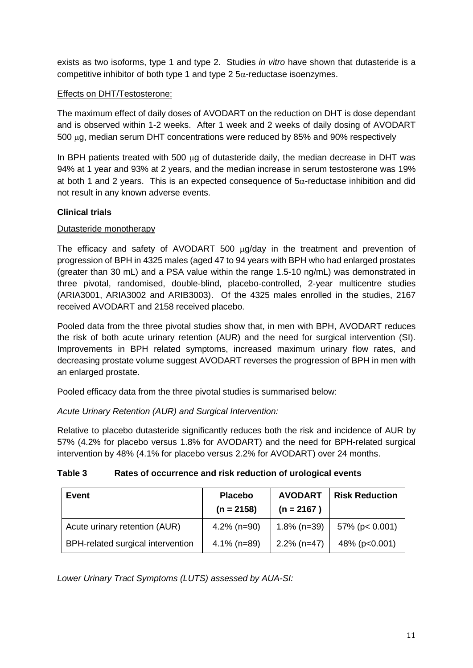exists as two isoforms, type 1 and type 2. Studies *in vitro* have shown that dutasteride is a competitive inhibitor of both type 1 and type 2  $5\alpha$ -reductase isoenzymes.

#### Effects on DHT/Testosterone:

The maximum effect of daily doses of AVODART on the reduction on DHT is dose dependant and is observed within 1-2 weeks. After 1 week and 2 weeks of daily dosing of AVODART 500 µg, median serum DHT concentrations were reduced by 85% and 90% respectively

In BPH patients treated with 500  $\mu$ g of dutasteride daily, the median decrease in DHT was 94% at 1 year and 93% at 2 years, and the median increase in serum testosterone was 19% at both 1 and 2 years. This is an expected consequence of  $5\alpha$ -reductase inhibition and did not result in any known adverse events.

#### **Clinical trials**

#### Dutasteride monotherapy

The efficacy and safety of AVODART 500 ug/day in the treatment and prevention of progression of BPH in 4325 males (aged 47 to 94 years with BPH who had enlarged prostates (greater than 30 mL) and a PSA value within the range 1.5-10 ng/mL) was demonstrated in three pivotal, randomised, double-blind, placebo-controlled, 2-year multicentre studies (ARIA3001, ARIA3002 and ARIB3003). Of the 4325 males enrolled in the studies, 2167 received AVODART and 2158 received placebo.

Pooled data from the three pivotal studies show that, in men with BPH, AVODART reduces the risk of both acute urinary retention (AUR) and the need for surgical intervention (SI). Improvements in BPH related symptoms, increased maximum urinary flow rates, and decreasing prostate volume suggest AVODART reverses the progression of BPH in men with an enlarged prostate.

Pooled efficacy data from the three pivotal studies is summarised below:

*Acute Urinary Retention (AUR) and Surgical Intervention:*

Relative to placebo dutasteride significantly reduces both the risk and incidence of AUR by 57% (4.2% for placebo versus 1.8% for AVODART) and the need for BPH-related surgical intervention by 48% (4.1% for placebo versus 2.2% for AVODART) over 24 months.

#### **Table 3 Rates of occurrence and risk reduction of urological events**

| Event                             | <b>Placebo</b><br>$(n = 2158)$ | <b>AVODART</b><br>$(n = 2167)$ | <b>Risk Reduction</b> |
|-----------------------------------|--------------------------------|--------------------------------|-----------------------|
| Acute urinary retention (AUR)     | $4.2\%$ (n=90)                 | $1.8\%$ (n=39)                 | $57\%$ (p< 0.001)     |
| BPH-related surgical intervention | $4.1\%$ (n=89)                 | $2.2\%$ (n=47)                 | 48% (p<0.001)         |

*Lower Urinary Tract Symptoms (LUTS) assessed by AUA-SI:*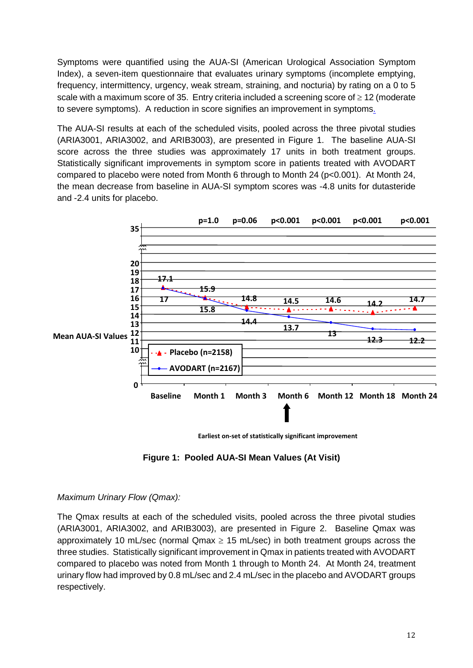Symptoms were quantified using the AUA-SI (American Urological Association Symptom Index), a seven-item questionnaire that evaluates urinary symptoms (incomplete emptying, frequency, intermittency, urgency, weak stream, straining, and nocturia) by rating on a 0 to 5 scale with a maximum score of 35. Entry criteria included a screening score of ≥ 12 (moderate to severe symptoms). A reduction in score signifies an improvement in symptoms.

The AUA-SI results at each of the scheduled visits, pooled across the three pivotal studies (ARIA3001, ARIA3002, and ARIB3003), are presented in Figure 1. The baseline AUA-SI score across the three studies was approximately 17 units in both treatment groups. Statistically significant improvements in symptom score in patients treated with AVODART compared to placebo were noted from Month 6 through to Month 24 (p<0.001). At Month 24, the mean decrease from baseline in AUA-SI symptom scores was -4.8 units for dutasteride and -2.4 units for placebo.



 **Earliest on-set of statistically significant improvement**

**Figure 1: Pooled AUA-SI Mean Values (At Visit)**

#### *Maximum Urinary Flow (Qmax):*

The Qmax results at each of the scheduled visits, pooled across the three pivotal studies (ARIA3001, ARIA3002, and ARIB3003), are presented in Figure 2. Baseline Qmax was approximately 10 mL/sec (normal  $Qmax \geq 15$  mL/sec) in both treatment groups across the three studies. Statistically significant improvement in Qmax in patients treated with AVODART compared to placebo was noted from Month 1 through to Month 24. At Month 24, treatment urinary flow had improved by 0.8 mL/sec and 2.4 mL/sec in the placebo and AVODART groups respectively.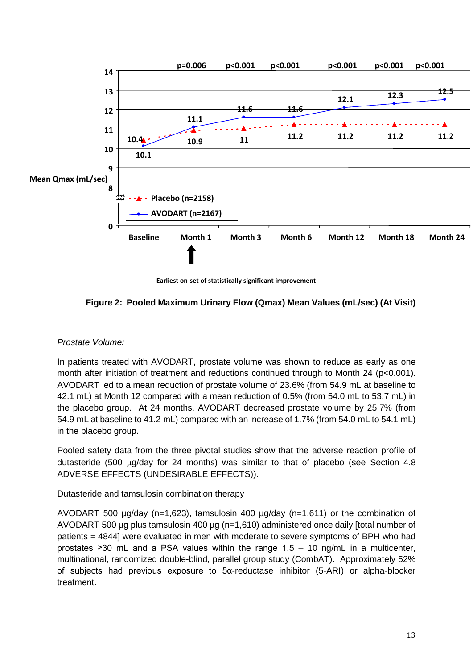

**Earliest on-set of statistically significant improvement**



#### *Prostate Volume:*

In patients treated with AVODART, prostate volume was shown to reduce as early as one month after initiation of treatment and reductions continued through to Month 24 (p<0.001). AVODART led to a mean reduction of prostate volume of 23.6% (from 54.9 mL at baseline to 42.1 mL) at Month 12 compared with a mean reduction of 0.5% (from 54.0 mL to 53.7 mL) in the placebo group. At 24 months, AVODART decreased prostate volume by 25.7% (from 54.9 mL at baseline to 41.2 mL) compared with an increase of 1.7% (from 54.0 mL to 54.1 mL) in the placebo group.

Pooled safety data from the three pivotal studies show that the adverse reaction profile of dutasteride (500 µg/day for 24 months) was similar to that of placebo (see Section 4.8 ADVERSE EFFECTS (UNDESIRABLE EFFECTS)).

#### Dutasteride and tamsulosin combination therapy

AVODART 500  $\mu$ g/day (n=1,623), tamsulosin 400  $\mu$ g/day (n=1,611) or the combination of AVODART 500 µg plus tamsulosin 400 µg (n=1,610) administered once daily [total number of patients = 4844] were evaluated in men with moderate to severe symptoms of BPH who had prostates  $\geq$ 30 mL and a PSA values within the range 1.5 – 10 ng/mL in a multicenter, multinational, randomized double-blind, parallel group study (CombAT). Approximately 52% of subjects had previous exposure to 5α-reductase inhibitor (5-ARI) or alpha-blocker treatment.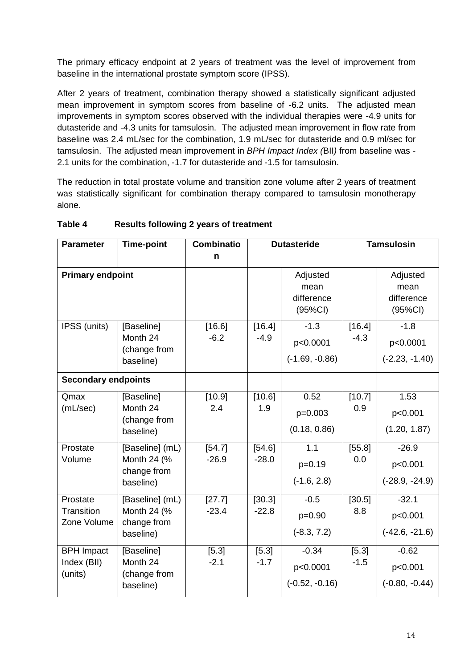The primary efficacy endpoint at 2 years of treatment was the level of improvement from baseline in the international prostate symptom score (IPSS).

After 2 years of treatment, combination therapy showed a statistically significant adjusted mean improvement in symptom scores from baseline of -6.2 units. The adjusted mean improvements in symptom scores observed with the individual therapies were -4.9 units for dutasteride and -4.3 units for tamsulosin. The adjusted mean improvement in flow rate from baseline was 2.4 mL/sec for the combination, 1.9 mL/sec for dutasteride and 0.9 ml/sec for tamsulosin. The adjusted mean improvement in *BPH Impact Index (*BII*)* from baseline was - 2.1 units for the combination, -1.7 for dutasteride and -1.5 for tamsulosin.

The reduction in total prostate volume and transition zone volume after 2 years of treatment was statistically significant for combination therapy compared to tamsulosin monotherapy alone.

| <b>Parameter</b>                            | <b>Time-point</b>                                          | <b>Combinatio</b><br>n | <b>Dutasteride</b> |                                           |                  | <b>Tamsulosin</b>                            |
|---------------------------------------------|------------------------------------------------------------|------------------------|--------------------|-------------------------------------------|------------------|----------------------------------------------|
| <b>Primary endpoint</b>                     |                                                            |                        |                    | Adjusted<br>mean<br>difference<br>(95%CI) |                  | Adjusted<br>mean<br>difference<br>$(95\%CI)$ |
| IPSS (units)                                | [Baseline]<br>Month 24<br>(change from<br>baseline)        | [16.6]<br>$-6.2$       | [16.4]<br>$-4.9$   | $-1.3$<br>p<0.0001<br>$(-1.69, -0.86)$    | [16.4]<br>$-4.3$ | $-1.8$<br>p<0.0001<br>$(-2.23, -1.40)$       |
| <b>Secondary endpoints</b>                  |                                                            |                        |                    |                                           |                  |                                              |
| Qmax<br>(mL/sec)                            | [Baseline]<br>Month 24<br>(change from<br>baseline)        | [10.9]<br>2.4          | [10.6]<br>1.9      | 0.52<br>p=0.003<br>(0.18, 0.86)           | [10.7]<br>0.9    | 1.53<br>p<0.001<br>(1.20, 1.87)              |
| Prostate<br>Volume                          | [Baseline] (mL)<br>Month 24 (%<br>change from<br>baseline) | [54.7]<br>$-26.9$      | [54.6]<br>$-28.0$  | 1.1<br>$p=0.19$<br>$(-1.6, 2.8)$          | [55.8]<br>0.0    | $-26.9$<br>p<0.001<br>$(-28.9, -24.9)$       |
| Prostate<br>Transition<br>Zone Volume       | [Baseline] (mL)<br>Month 24 (%<br>change from<br>baseline) | [27.7]<br>$-23.4$      | [30.3]<br>$-22.8$  | $-0.5$<br>$p=0.90$<br>$(-8.3, 7.2)$       | [30.5]<br>8.8    | $-32.1$<br>p<0.001<br>$(-42.6, -21.6)$       |
| <b>BPH Impact</b><br>Index (BII)<br>(units) | [Baseline]<br>Month 24<br>(change from<br>baseline)        | [5.3]<br>$-2.1$        | [5.3]<br>$-1.7$    | $-0.34$<br>p<0.0001<br>$(-0.52, -0.16)$   | [5.3]<br>$-1.5$  | $-0.62$<br>p<0.001<br>$(-0.80, -0.44)$       |

#### **Table 4 Results following 2 years of treatment**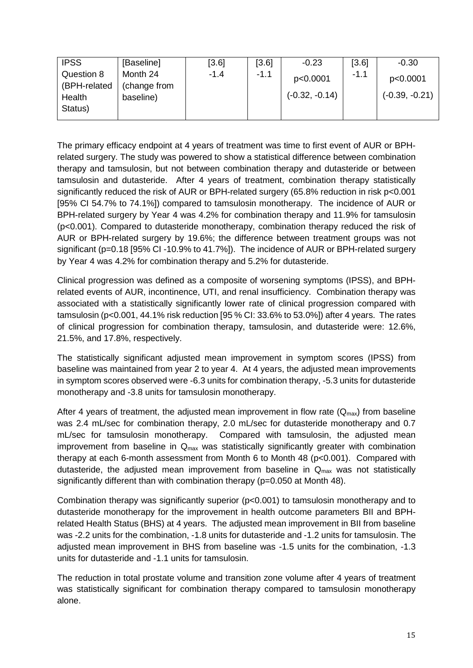| <b>IPSS</b>            | [Baseline]                | [3.6]  | [3.6]  | $-0.23$          | [3.6]  | $-0.30$          |
|------------------------|---------------------------|--------|--------|------------------|--------|------------------|
| Question 8             | Month 24                  | $-1.4$ | $-1.1$ | p<0.0001         | $-1.1$ | p<0.0001         |
| (BPH-related<br>Health | (change from<br>baseline) |        |        | $(-0.32, -0.14)$ |        | $(-0.39, -0.21)$ |
| Status)                |                           |        |        |                  |        |                  |

The primary efficacy endpoint at 4 years of treatment was time to first event of AUR or BPHrelated surgery. The study was powered to show a statistical difference between combination therapy and tamsulosin, but not between combination therapy and dutasteride or between tamsulosin and dutasteride. After 4 years of treatment, combination therapy statistically significantly reduced the risk of AUR or BPH-related surgery (65.8% reduction in risk p<0.001 [95% CI 54.7% to 74.1%]) compared to tamsulosin monotherapy. The incidence of AUR or BPH-related surgery by Year 4 was 4.2% for combination therapy and 11.9% for tamsulosin (p<0.001). Compared to dutasteride monotherapy, combination therapy reduced the risk of AUR or BPH-related surgery by 19.6%; the difference between treatment groups was not significant (p=0.18 [95% CI -10.9% to 41.7%]). The incidence of AUR or BPH-related surgery by Year 4 was 4.2% for combination therapy and 5.2% for dutasteride.

Clinical progression was defined as a composite of worsening symptoms (IPSS), and BPHrelated events of AUR, incontinence, UTI, and renal insufficiency. Combination therapy was associated with a statistically significantly lower rate of clinical progression compared with tamsulosin (p<0.001, 44.1% risk reduction [95 % CI: 33.6% to 53.0%]) after 4 years. The rates of clinical progression for combination therapy, tamsulosin, and dutasteride were: 12.6%, 21.5%, and 17.8%, respectively.

The statistically significant adjusted mean improvement in symptom scores (IPSS) from baseline was maintained from year 2 to year 4. At 4 years, the adjusted mean improvements in symptom scores observed were -6.3 units for combination therapy, -5.3 units for dutasteride monotherapy and -3.8 units for tamsulosin monotherapy.

After 4 years of treatment, the adjusted mean improvement in flow rate  $(Q<sub>max</sub>)$  from baseline was 2.4 mL/sec for combination therapy, 2.0 mL/sec for dutasteride monotherapy and 0.7 mL/sec for tamsulosin monotherapy. Compared with tamsulosin, the adjusted mean improvement from baseline in  $Q<sub>max</sub>$  was statistically significantly greater with combination therapy at each 6-month assessment from Month 6 to Month 48 (p<0.001). Compared with dutasteride, the adjusted mean improvement from baseline in  $Q_{\text{max}}$  was not statistically significantly different than with combination therapy (p=0.050 at Month 48).

Combination therapy was significantly superior (p<0.001) to tamsulosin monotherapy and to dutasteride monotherapy for the improvement in health outcome parameters BII and BPHrelated Health Status (BHS) at 4 years. The adjusted mean improvement in BII from baseline was -2.2 units for the combination, -1.8 units for dutasteride and -1.2 units for tamsulosin. The adjusted mean improvement in BHS from baseline was -1.5 units for the combination, -1.3 units for dutasteride and -1.1 units for tamsulosin.

The reduction in total prostate volume and transition zone volume after 4 years of treatment was statistically significant for combination therapy compared to tamsulosin monotherapy alone.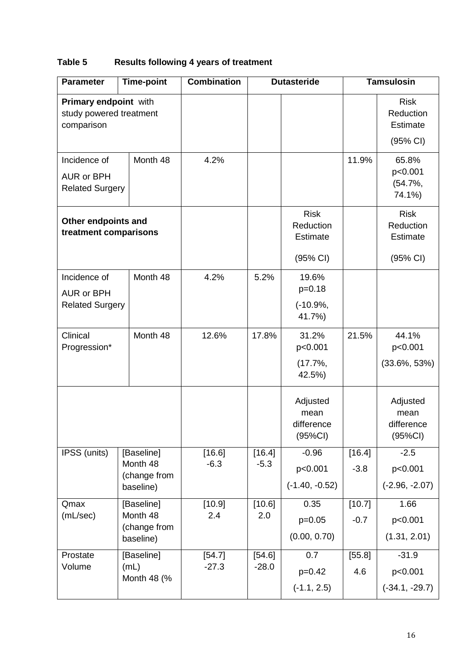# **Table 5 Results following 4 years of treatment**

| <b>Parameter</b>                                               | <b>Time-point</b>                                   | <b>Combination</b> | <b>Dutasteride</b> |                                                         | <b>Tamsulosin</b> |                                                         |
|----------------------------------------------------------------|-----------------------------------------------------|--------------------|--------------------|---------------------------------------------------------|-------------------|---------------------------------------------------------|
| Primary endpoint with<br>study powered treatment<br>comparison |                                                     |                    |                    |                                                         |                   | <b>Risk</b><br>Reduction<br><b>Estimate</b><br>(95% CI) |
| Incidence of<br><b>AUR or BPH</b><br><b>Related Surgery</b>    | Month 48                                            | 4.2%               |                    |                                                         | 11.9%             | 65.8%<br>p<0.001<br>$(54.7\%,$<br>74.1%)                |
| Other endpoints and<br>treatment comparisons                   |                                                     |                    |                    | <b>Risk</b><br>Reduction<br><b>Estimate</b><br>(95% CI) |                   | <b>Risk</b><br>Reduction<br><b>Estimate</b><br>(95% CI) |
| Incidence of<br><b>AUR or BPH</b><br><b>Related Surgery</b>    | Month 48                                            | 4.2%               | 5.2%               | 19.6%<br>$p=0.18$<br>$(-10.9\%,$<br>41.7%)              |                   |                                                         |
| Clinical<br>Progression*                                       | Month 48                                            | 12.6%              | 17.8%              | 31.2%<br>p<0.001<br>$(17.7\%,$<br>42.5%)                | 21.5%             | 44.1%<br>p<0.001<br>$(33.6\%, 53\%)$                    |
|                                                                |                                                     |                    |                    | Adjusted<br>mean<br>difference<br>$(95\%CI)$            |                   | Adjusted<br>mean<br>difference<br>$(95\%CI)$            |
| IPSS (units)                                                   | [Baseline]<br>Month 48<br>(change from<br>baseline) | [16.6]<br>$-6.3$   | [16.4]<br>$-5.3$   | $-0.96$<br>p<0.001<br>$(-1.40, -0.52)$                  | [16.4]<br>$-3.8$  | $-2.5$<br>p<0.001<br>$(-2.96, -2.07)$                   |
| Qmax<br>(mL/sec)                                               | [Baseline]<br>Month 48<br>(change from<br>baseline) | [10.9]<br>2.4      | [10.6]<br>2.0      | 0.35<br>$p=0.05$<br>(0.00, 0.70)                        | [10.7]<br>$-0.7$  | 1.66<br>p<0.001<br>(1.31, 2.01)                         |
| Prostate<br>Volume                                             | [Baseline]<br>(mL)<br>Month 48 (%                   | [54.7]<br>$-27.3$  | [54.6]<br>$-28.0$  | 0.7<br>$p=0.42$<br>$(-1.1, 2.5)$                        | [55.8]<br>4.6     | $-31.9$<br>p<0.001<br>$(-34.1, -29.7)$                  |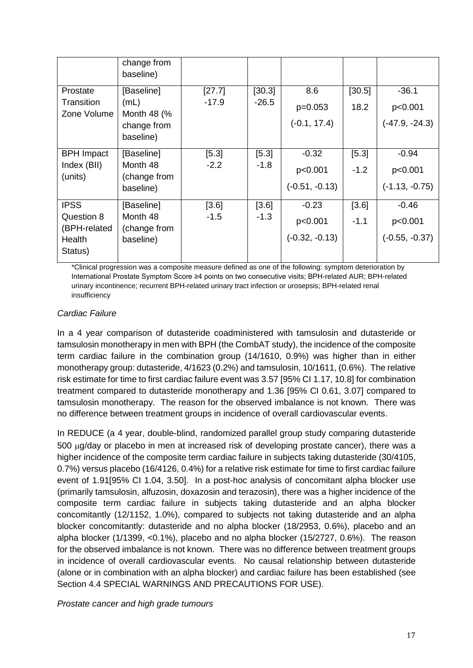|                            | change from<br>baseline) |         |         |                  |        |                  |
|----------------------------|--------------------------|---------|---------|------------------|--------|------------------|
| Prostate                   | [Baseline]               | [27.7]  | [30.3]  | 8.6              | [30.5] | $-36.1$          |
| Transition<br>Zone Volume  | (mL)<br>Month 48 (%      | $-17.9$ | $-26.5$ | $p=0.053$        | 18.2   | p<0.001          |
|                            | change from              |         |         | $(-0.1, 17.4)$   |        | $(-47.9, -24.3)$ |
|                            | baseline)                |         |         |                  |        |                  |
| <b>BPH</b> Impact          | [Baseline]               | $[5.3]$ | [5.3]   | $-0.32$          | [5.3]  | $-0.94$          |
| Index (BII)<br>(units)     | Month 48<br>(change from | $-2.2$  | $-1.8$  | p<0.001          | $-1.2$ | p<0.001          |
|                            | baseline)                |         |         | $(-0.51, -0.13)$ |        | $(-1.13, -0.75)$ |
| <b>IPSS</b>                | [Baseline]               | [3.6]   | [3.6]   | $-0.23$          | [3.6]  | $-0.46$          |
| Question 8<br>(BPH-related | Month 48<br>(change from | $-1.5$  | $-1.3$  | p<0.001          | $-1.1$ | p<0.001          |
| Health<br>Status)          | baseline)                |         |         | $(-0.32, -0.13)$ |        | $(-0.55, -0.37)$ |

\*Clinical progression was a composite measure defined as one of the following: symptom deterioration by International Prostate Symptom Score ≥4 points on two consecutive visits; BPH-related AUR; BPH-related urinary incontinence; recurrent BPH-related urinary tract infection or urosepsis; BPH-related renal insufficiency

#### *Cardiac Failure*

In a 4 year comparison of dutasteride coadministered with tamsulosin and dutasteride or tamsulosin monotherapy in men with BPH (the CombAT study), the incidence of the composite term cardiac failure in the combination group (14/1610, 0.9%) was higher than in either monotherapy group: dutasteride, 4/1623 (0.2%) and tamsulosin, 10/1611, (0.6%). The relative risk estimate for time to first cardiac failure event was 3.57 [95% CI 1.17, 10.8] for combination treatment compared to dutasteride monotherapy and 1.36 [95% CI 0.61, 3.07] compared to tamsulosin monotherapy. The reason for the observed imbalance is not known. There was no difference between treatment groups in incidence of overall cardiovascular events.

In REDUCE (a 4 year, double-blind, randomized parallel group study comparing dutasteride 500 µg/day or placebo in men at increased risk of developing prostate cancer), there was a higher incidence of the composite term cardiac failure in subjects taking dutasteride (30/4105, 0.7%) versus placebo (16/4126, 0.4%) for a relative risk estimate for time to first cardiac failure event of 1.91[95% CI 1.04, 3.50]. In a post-hoc analysis of concomitant alpha blocker use (primarily tamsulosin, alfuzosin, doxazosin and terazosin), there was a higher incidence of the composite term cardiac failure in subjects taking dutasteride and an alpha blocker concomitantly (12/1152, 1.0%), compared to subjects not taking dutasteride and an alpha blocker concomitantly: dutasteride and no alpha blocker (18/2953, 0.6%), placebo and an alpha blocker (1/1399, <0.1%), placebo and no alpha blocker (15/2727, 0.6%). The reason for the observed imbalance is not known. There was no difference between treatment groups in incidence of overall cardiovascular events. No causal relationship between dutasteride (alone or in combination with an alpha blocker) and cardiac failure has been established (see Section 4.4 SPECIAL WARNINGS AND PRECAUTIONS FOR USE).

*Prostate cancer and high grade tumours*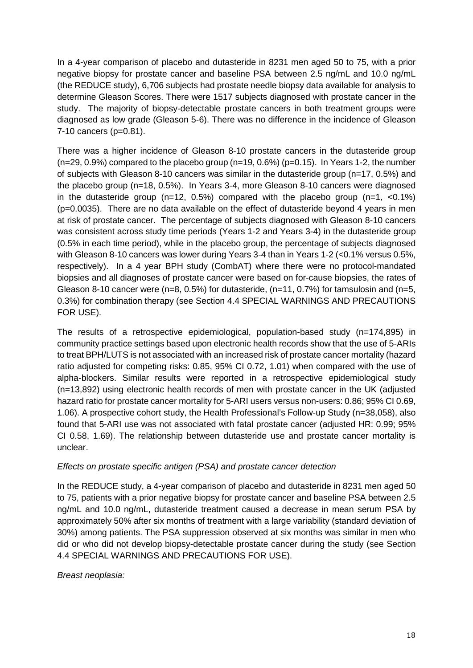In a 4-year comparison of placebo and dutasteride in 8231 men aged 50 to 75, with a prior negative biopsy for prostate cancer and baseline PSA between 2.5 ng/mL and 10.0 ng/mL (the REDUCE study), 6,706 subjects had prostate needle biopsy data available for analysis to determine Gleason Scores. There were 1517 subjects diagnosed with prostate cancer in the study. The majority of biopsy-detectable prostate cancers in both treatment groups were diagnosed as low grade (Gleason 5-6). There was no difference in the incidence of Gleason 7-10 cancers (p=0.81).

There was a higher incidence of Gleason 8-10 prostate cancers in the dutasteride group  $(n=29, 0.9%)$  compared to the placebo group  $(n=19, 0.6%)$   $(p=0.15)$ . In Years 1-2, the number of subjects with Gleason 8-10 cancers was similar in the dutasteride group (n=17, 0.5%) and the placebo group (n=18, 0.5%). In Years 3-4, more Gleason 8-10 cancers were diagnosed in the dutasteride group ( $n=12$ , 0.5%) compared with the placebo group ( $n=1$ , <0.1%) (p=0.0035). There are no data available on the effect of dutasteride beyond 4 years in men at risk of prostate cancer. The percentage of subjects diagnosed with Gleason 8-10 cancers was consistent across study time periods (Years 1-2 and Years 3-4) in the dutasteride group (0.5% in each time period), while in the placebo group, the percentage of subjects diagnosed with Gleason 8-10 cancers was lower during Years 3-4 than in Years 1-2 (<0.1% versus 0.5%, respectively). In a 4 year BPH study (CombAT) where there were no protocol-mandated biopsies and all diagnoses of prostate cancer were based on for-cause biopsies, the rates of Gleason 8-10 cancer were (n=8, 0.5%) for dutasteride, (n=11, 0.7%) for tamsulosin and (n=5, 0.3%) for combination therapy (see Section 4.4 SPECIAL WARNINGS AND PRECAUTIONS FOR USE).

The results of a retrospective epidemiological, population-based study (n=174,895) in community practice settings based upon electronic health records show that the use of 5-ARIs to treat BPH/LUTS is not associated with an increased risk of prostate cancer mortality (hazard ratio adjusted for competing risks: 0.85, 95% CI 0.72, 1.01) when compared with the use of alpha-blockers. Similar results were reported in a retrospective epidemiological study (n=13,892) using electronic health records of men with prostate cancer in the UK (adjusted hazard ratio for prostate cancer mortality for 5-ARI users versus non-users: 0.86; 95% CI 0.69, 1.06). A prospective cohort study, the Health Professional's Follow-up Study (n=38,058), also found that 5-ARI use was not associated with fatal prostate cancer (adjusted HR: 0.99; 95% CI 0.58, 1.69). The relationship between dutasteride use and prostate cancer mortality is unclear.

#### *Effects on prostate specific antigen (PSA) and prostate cancer detection*

In the REDUCE study, a 4-year comparison of placebo and dutasteride in 8231 men aged 50 to 75, patients with a prior negative biopsy for prostate cancer and baseline PSA between 2.5 ng/mL and 10.0 ng/mL, dutasteride treatment caused a decrease in mean serum PSA by approximately 50% after six months of treatment with a large variability (standard deviation of 30%) among patients. The PSA suppression observed at six months was similar in men who did or who did not develop biopsy-detectable prostate cancer during the study (see Section 4.4 SPECIAL WARNINGS AND PRECAUTIONS FOR USE).

#### *Breast neoplasia:*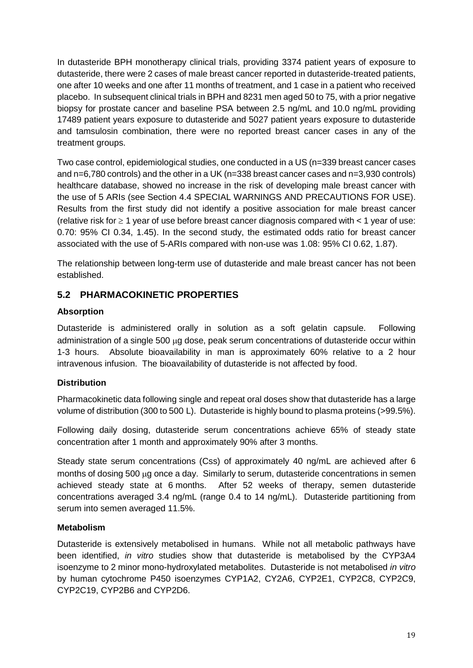In dutasteride BPH monotherapy clinical trials, providing 3374 patient years of exposure to dutasteride, there were 2 cases of male breast cancer reported in dutasteride-treated patients, one after 10 weeks and one after 11 months of treatment, and 1 case in a patient who received placebo. In subsequent clinical trials in BPH and 8231 men aged 50 to 75, with a prior negative biopsy for prostate cancer and baseline PSA between 2.5 ng/mL and 10.0 ng/mL providing 17489 patient years exposure to dutasteride and 5027 patient years exposure to dutasteride and tamsulosin combination, there were no reported breast cancer cases in any of the treatment groups.

Two case control, epidemiological studies, one conducted in a US (n=339 breast cancer cases and n=6,780 controls) and the other in a UK (n=338 breast cancer cases and n=3,930 controls) healthcare database, showed no increase in the risk of developing male breast cancer with the use of 5 ARIs (see Section 4.4 SPECIAL WARNINGS AND PRECAUTIONS FOR USE). Results from the first study did not identify a positive association for male breast cancer (relative risk for  $\geq 1$  year of use before breast cancer diagnosis compared with  $\lt 1$  year of use: 0.70: 95% CI 0.34, 1.45). In the second study, the estimated odds ratio for breast cancer associated with the use of 5-ARIs compared with non-use was 1.08: 95% CI 0.62, 1.87).

The relationship between long-term use of dutasteride and male breast cancer has not been established.

## **5.2 PHARMACOKINETIC PROPERTIES**

#### **Absorption**

Dutasteride is administered orally in solution as a soft gelatin capsule. Following administration of a single 500 µg dose, peak serum concentrations of dutasteride occur within 1-3 hours. Absolute bioavailability in man is approximately 60% relative to a 2 hour intravenous infusion. The bioavailability of dutasteride is not affected by food.

#### **Distribution**

Pharmacokinetic data following single and repeat oral doses show that dutasteride has a large volume of distribution (300 to 500 L). Dutasteride is highly bound to plasma proteins (>99.5%).

Following daily dosing, dutasteride serum concentrations achieve 65% of steady state concentration after 1 month and approximately 90% after 3 months.

Steady state serum concentrations (Css) of approximately 40 ng/mL are achieved after 6 months of dosing 500 µg once a day. Similarly to serum, dutasteride concentrations in semen achieved steady state at 6 months. After 52 weeks of therapy, semen dutasteride concentrations averaged 3.4 ng/mL (range 0.4 to 14 ng/mL). Dutasteride partitioning from serum into semen averaged 11.5%.

#### **Metabolism**

Dutasteride is extensively metabolised in humans. While not all metabolic pathways have been identified, *in vitro* studies show that dutasteride is metabolised by the CYP3A4 isoenzyme to 2 minor mono-hydroxylated metabolites. Dutasteride is not metabolised *in vitro* by human cytochrome P450 isoenzymes CYP1A2, CY2A6, CYP2E1, CYP2C8, CYP2C9, CYP2C19, CYP2B6 and CYP2D6.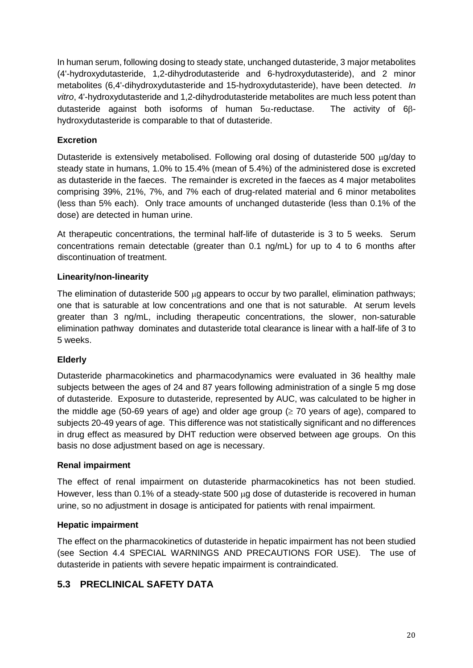In human serum, following dosing to steady state, unchanged dutasteride, 3 major metabolites (4'-hydroxydutasteride, 1,2-dihydrodutasteride and 6-hydroxydutasteride), and 2 minor metabolites (6,4'-dihydroxydutasteride and 15-hydroxydutasteride), have been detected. *In vitro*, 4'-hydroxydutasteride and 1,2-dihydrodutasteride metabolites are much less potent than dutasteride against both isoforms of human  $5\alpha$ -reductase. The activity of 6 $\beta$ hydroxydutasteride is comparable to that of dutasteride.

### **Excretion**

Dutasteride is extensively metabolised. Following oral dosing of dutasteride 500 µg/day to steady state in humans, 1.0% to 15.4% (mean of 5.4%) of the administered dose is excreted as dutasteride in the faeces. The remainder is excreted in the faeces as 4 major metabolites comprising 39%, 21%, 7%, and 7% each of drug-related material and 6 minor metabolites (less than 5% each). Only trace amounts of unchanged dutasteride (less than 0.1% of the dose) are detected in human urine.

At therapeutic concentrations, the terminal half-life of dutasteride is 3 to 5 weeks. Serum concentrations remain detectable (greater than 0.1 ng/mL) for up to 4 to 6 months after discontinuation of treatment.

#### **Linearity/non-linearity**

The elimination of dutasteride 500 µg appears to occur by two parallel, elimination pathways; one that is saturable at low concentrations and one that is not saturable. At serum levels greater than 3 ng/mL, including therapeutic concentrations, the slower, non-saturable elimination pathway dominates and dutasteride total clearance is linear with a half-life of 3 to 5 weeks.

#### **Elderly**

Dutasteride pharmacokinetics and pharmacodynamics were evaluated in 36 healthy male subjects between the ages of 24 and 87 years following administration of a single 5 mg dose of dutasteride. Exposure to dutasteride, represented by AUC, was calculated to be higher in the middle age (50-69 years of age) and older age group ( $\geq$  70 years of age), compared to subjects 20-49 years of age. This difference was not statistically significant and no differences in drug effect as measured by DHT reduction were observed between age groups. On this basis no dose adjustment based on age is necessary.

#### **Renal impairment**

The effect of renal impairment on dutasteride pharmacokinetics has not been studied. However, less than 0.1% of a steady-state 500 µg dose of dutasteride is recovered in human urine, so no adjustment in dosage is anticipated for patients with renal impairment.

#### **Hepatic impairment**

The effect on the pharmacokinetics of dutasteride in hepatic impairment has not been studied (see Section 4.4 SPECIAL WARNINGS AND PRECAUTIONS FOR USE). The use of dutasteride in patients with severe hepatic impairment is contraindicated.

## **5.3 PRECLINICAL SAFETY DATA**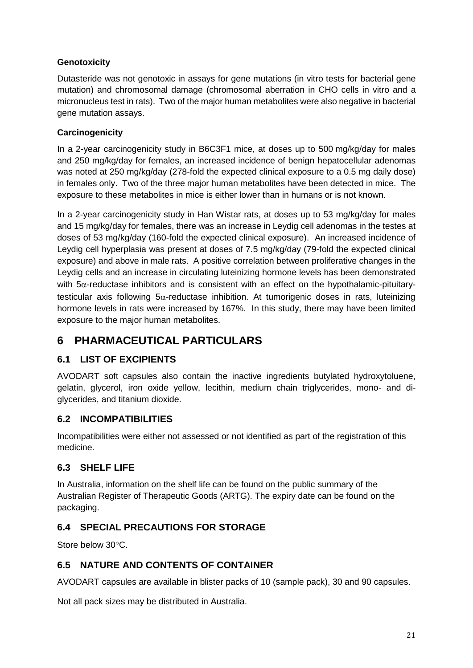## **Genotoxicity**

Dutasteride was not genotoxic in assays for gene mutations (in vitro tests for bacterial gene mutation) and chromosomal damage (chromosomal aberration in CHO cells in vitro and a micronucleus test in rats). Two of the major human metabolites were also negative in bacterial gene mutation assays.

## **Carcinogenicity**

In a 2-year carcinogenicity study in B6C3F1 mice, at doses up to 500 mg/kg/day for males and 250 mg/kg/day for females, an increased incidence of benign hepatocellular adenomas was noted at 250 mg/kg/day (278-fold the expected clinical exposure to a 0.5 mg daily dose) in females only. Two of the three major human metabolites have been detected in mice. The exposure to these metabolites in mice is either lower than in humans or is not known.

In a 2-year carcinogenicity study in Han Wistar rats, at doses up to 53 mg/kg/day for males and 15 mg/kg/day for females, there was an increase in Leydig cell adenomas in the testes at doses of 53 mg/kg/day (160-fold the expected clinical exposure). An increased incidence of Leydig cell hyperplasia was present at doses of 7.5 mg/kg/day (79-fold the expected clinical exposure) and above in male rats. A positive correlation between proliferative changes in the Leydig cells and an increase in circulating luteinizing hormone levels has been demonstrated with  $5\alpha$ -reductase inhibitors and is consistent with an effect on the hypothalamic-pituitarytesticular axis following  $5\alpha$ -reductase inhibition. At tumorigenic doses in rats, luteinizing hormone levels in rats were increased by 167%. In this study, there may have been limited exposure to the major human metabolites.

## **6 PHARMACEUTICAL PARTICULARS**

## **6.1 LIST OF EXCIPIENTS**

AVODART soft capsules also contain the inactive ingredients butylated hydroxytoluene, gelatin, glycerol, iron oxide yellow, lecithin, medium chain triglycerides, mono- and diglycerides, and titanium dioxide.

## **6.2 INCOMPATIBILITIES**

Incompatibilities were either not assessed or not identified as part of the registration of this medicine.

## **6.3 SHELF LIFE**

In Australia, information on the shelf life can be found on the public summary of the Australian Register of Therapeutic Goods (ARTG). The expiry date can be found on the packaging.

## **6.4 SPECIAL PRECAUTIONS FOR STORAGE**

Store below 30°C.

## **6.5 NATURE AND CONTENTS OF CONTAINER**

AVODART capsules are available in blister packs of 10 (sample pack), 30 and 90 capsules.

Not all pack sizes may be distributed in Australia.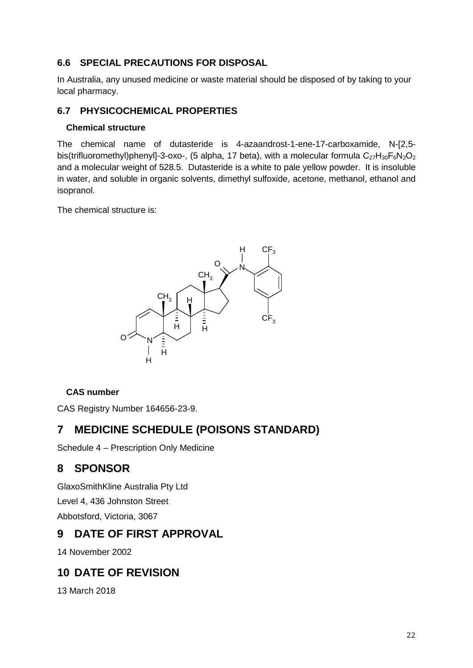## **6.6 SPECIAL PRECAUTIONS FOR DISPOSAL**

In Australia, any unused medicine or waste material should be disposed of by taking to your local pharmacy.

## **6.7 PHYSICOCHEMICAL PROPERTIES**

### **Chemical structure**

The chemical name of dutasteride is 4-azaandrost-1-ene-17-carboxamide, N-[2,5 bis(trifluoromethyl)phenyl]-3-oxo-, (5 alpha, 17 beta), with a molecular formula  $C_{27}H_{30}F_6N_2O_2$ and a molecular weight of 528.5. Dutasteride is a white to pale yellow powder. It is insoluble in water, and soluble in organic solvents, dimethyl sulfoxide, acetone, methanol, ethanol and isopranol.

The chemical structure is:



## **CAS number**

CAS Registry Number 164656-23-9.

# **7 MEDICINE SCHEDULE (POISONS STANDARD)**

Schedule 4 – Prescription Only Medicine

# **8 SPONSOR**

GlaxoSmithKline Australia Pty Ltd Level 4, 436 Johnston Street Abbotsford, Victoria, 3067

# **9 DATE OF FIRST APPROVAL**

14 November 2002

# **10 DATE OF REVISION**

13 March 2018